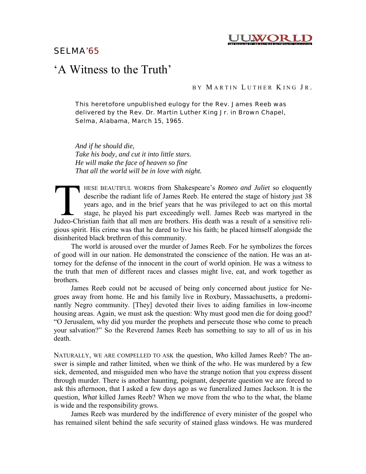## 'A Witness to the Truth'

## BY MARTIN LUTHER KING JR.

This heretofore unpublished eulogy for the Rev. James Reeb was delivered by the Rev. Dr. Martin Luther King Jr. in Brown Chapel, Selma, Alabama, March 15, 1965.

*And if he should die, Take his body, and cut it into little stars. He will make the face of heaven so fine That all the world will be in love with night.* 

HESE BEAUTIFUL WORDS from Shakespeare's *Romeo and Juliet* so eloquently describe the radiant life of James Reeb. He entered the stage of history just 38 years ago, and in the brief years that he was privileged to act on this mortal stage, he played his part exceedingly well. James Reeb was martyred in the Judeo-Christian faith that all men are brothers. His death was a result of a sensitive religious spirit. His crime was that he dared to live his faith; he placed himself alongside the disinherited black brethren of this community.

The world is aroused over the murder of James Reeb. For he symbolizes the forces of good will in our nation. He demonstrated the conscience of the nation. He was an attorney for the defense of the innocent in the court of world opinion. He was a witness to the truth that men of different races and classes might live, eat, and work together as brothers.

James Reeb could not be accused of being only concerned about justice for Negroes away from home. He and his family live in Roxbury, Massachusetts, a predominantly Negro community. [They] devoted their lives to aiding families in low-income housing areas. Again, we must ask the question: Why must good men die for doing good? "O Jerusalem, why did you murder the prophets and persecute those who come to preach your salvation?" So the Reverend James Reeb has something to say to all of us in his death.

NATURALLY, WE ARE COMPELLED TO ASK the question, *Who* killed James Reeb? The answer is simple and rather limited, when we think of the *who*. He was murdered by a few sick, demented, and misguided men who have the strange notion that you express dissent through murder. There is another haunting, poignant, desperate question we are forced to ask this afternoon, that I asked a few days ago as we funeralized James Jackson. It is the question, *What* killed James Reeb? When we move from the who to the what, the blame is wide and the responsibility grows.

James Reeb was murdered by the indifference of every minister of the gospel who has remained silent behind the safe security of stained glass windows. He was murdered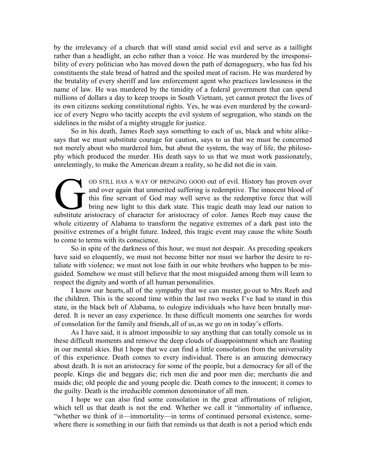by the irrelevancy of a church that will stand amid social evil and serve as a taillight rather than a headlight, an echo rather than a voice. He was murdered by the irresponsibility of every politician who has moved down the path of demagoguery, who has fed his constituents the stale bread of hatred and the spoiled meat of racism. He was murdered by the brutality of every sheriff and law enforcement agent who practices lawlessness in the name of law. He was murdered by the timidity of a federal government that can spend millions of dollars a day to keep troops in South Vietnam, yet cannot protect the lives of its own citizens seeking constitutional rights. Yes, he was even murdered by the cowardice of every Negro who tacitly accepts the evil system of segregation, who stands on the sidelines in the midst of a mighty struggle for justice.

So in his death, James Reeb says something to each of us, black and white alike– says that we must substitute courage for caution, says to us that we must be concerned not merely about who murdered him, but about the system, the way of life, the philosophy which produced the murder. His death says to us that we must work passionately, unrelentingly, to make the American dream a reality, so he did not die in vain.

OD STILL HAS A WAY OF BRINGING GOOD out of evil. History has proven over and over again that unmerited suffering is redemptive. The innocent blood of this fine servant of God may well serve as the redemptive force that will bring new light to this dark state. This tragic death may lead our nation to substitute aristocracy of character for aristocracy of color. James Reeb may cause the whole citizenry of Alabama to transform the negative extremes of a dark past into the positive extremes of a bright future. Indeed, this tragic event may cause the white South to come to terms with its conscience.

So in spite of the darkness of this hour, we must not despair. As preceding speakers have said so eloquently, we must not become bitter nor must we harbor the desire to retaliate with violence; we must not lose faith in our white brothers who happen to be misguided. Somehow we must still believe that the most misguided among them will learn to respect the dignity and worth of all human personalities.

I know our hearts, all of the sympathy that we can muster, go out to Mrs. Reeb and the children. This is the second time within the last two weeks I've had to stand in this state, in the black belt of Alabama, to eulogize individuals who have been brutally murdered. It is never an easy experience. In these difficult moments one searches for words of consolation for the family and friends, all of us, as we go on in today's efforts.

As I have said, it is almost impossible to say anything that can totally console us in these difficult moments and remove the deep clouds of disappointment which are floating in our mental skies. But I hope that we can find a little consolation from the universality of this experience. Death comes to every individual. There is an amazing democracy about death. It is not an aristocracy for some of the people, but a democracy for all of the people. Kings die and beggars die; rich men die and poor men die; merchants die and maids die; old people die and young people die. Death comes to the innocent; it comes to the guilty. Death is the irreducible common denominator of all men.

I hope we can also find some consolation in the great affirmations of religion, which tell us that death is not the end. Whether we call it "immortality of influence, "whether we think of it—immortality—in terms of continued personal existence, somewhere there is something in our faith that reminds us that death is not a period which ends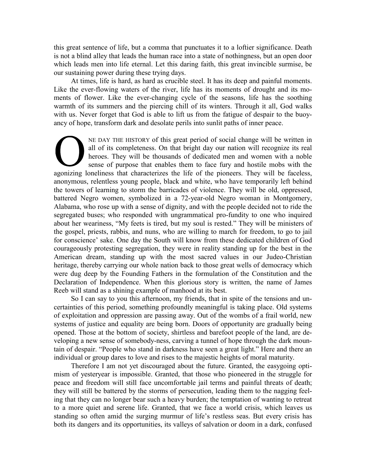this great sentence of life, but a comma that punctuates it to a loftier significance. Death is not a blind alley that leads the human race into a state of nothingness, but an open door which leads men into life eternal. Let this daring faith, this great invincible surmise, be our sustaining power during these trying days.

At times, life is hard, as hard as crucible steel. It has its deep and painful moments. Like the ever-flowing waters of the river, life has its moments of drought and its moments of flower. Like the ever-changing cycle of the seasons, life has the soothing warmth of its summers and the piercing chill of its winters. Through it all, God walks with us. Never forget that God is able to lift us from the fatigue of despair to the buoyancy of hope, transform dark and desolate perils into sunlit paths of inner peace.

NE DAY THE HISTORY of this great period of social change will be written in all of its completeness. On that bright day our nation will recognize its real heroes. They will be thousands of dedicated men and women with a noble sense of purpose that enables them to face fury and hostile mobs with the agonizing loneliness that characterizes the life of the pioneers. They will be faceless, anonymous, relentless young people, black and white, who have temporarily left behind the towers of learning to storm the barricades of violence. They will be old, oppressed, battered Negro women, symbolized in a 72-year-old Negro woman in Montgomery, Alabama, who rose up with a sense of dignity, and with the people decided not to ride the segregated buses; who responded with ungrammatical pro-fundity to one who inquired about her weariness, "My feets is tired, but my soul is rested." They will be ministers of the gospel, priests, rabbis, and nuns, who are willing to march for freedom, to go to jail for conscience' sake. One day the South will know from these dedicated children of God courageously protesting segregation, they were in reality standing up for the best in the American dream, standing up with the most sacred values in our Judeo-Christian heritage, thereby carrying our whole nation back to those great wells of democracy which were dug deep by the Founding Fathers in the formulation of the Constitution and the Declaration of Independence. When this glorious story is written, the name of James Reeb will stand as a shining example of manhood at its best.

So I can say to you this afternoon, my friends, that in spite of the tensions and uncertainties of this period, something profoundly meaningful is taking place. Old systems of exploitation and oppression are passing away. Out of the wombs of a frail world, new systems of justice and equality are being born. Doors of opportunity are gradually being opened. Those at the bottom of society, shirtless and barefoot people of the land, are developing a new sense of somebody-ness, carving a tunnel of hope through the dark mountain of despair. "People who stand in darkness have seen a great light." Here and there an individual or group dares to love and rises to the majestic heights of moral maturity.

Therefore I am not yet discouraged about the future. Granted, the easygoing optimism of yesteryear is impossible. Granted, that those who pioneered in the struggle for peace and freedom will still face uncomfortable jail terms and painful threats of death; they will still be battered by the storms of persecution, leading them to the nagging feeling that they can no longer bear such a heavy burden; the temptation of wanting to retreat to a more quiet and serene life. Granted, that we face a world crisis, which leaves us standing so often amid the surging murmur of life's restless seas. But every crisis has both its dangers and its opportunities, its valleys of salvation or doom in a dark, confused